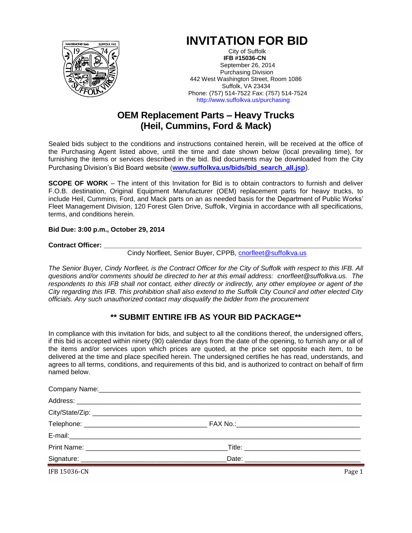

# **INVITATION FOR BID**

City of Suffolk  **IFB #15036-CN** September 26, 2014 Purchasing Division 442 West Washington Street, Room 1086 Suffolk, VA 23434 Phone: (757) 514-7522 Fax: (757) 514-7524 http://www.suffolkva.us/purchasing

## **OEM Replacement Parts – Heavy Trucks (Heil, Cummins, Ford & Mack)**

Sealed bids subject to the conditions and instructions contained herein, will be received at the office of the Purchasing Agent listed above, until the time and date shown below (local prevailing time), for furnishing the items or services described in the bid. Bid documents may be downloaded from the City Purchasing Division's Bid Board website (**[www.suffolkva.us/bids/bid\\_search\\_all.jsp](http://www.suffolkva.us/bids/bid_search_all.jsp)**).

**SCOPE OF WORK** – The intent of this Invitation for Bid is to obtain contractors to furnish and deliver F.O.B. destination, Original Equipment Manufacturer (OEM) replacement parts for heavy trucks, to include Heil, Cummins, Ford, and Mack parts on an as needed basis for the Department of Public Works' Fleet Management Division, 120 Forest Glen Drive, Suffolk, Virginia in accordance with all specifications, terms, and conditions herein.

**Bid Due: 3:00 p.m., October 29, 2014**

Contract Officer:

Cindy Norfleet, Senior Buyer, CPPB, [cnorfleet@suffolkva.us](mailto:cnorfleet@suffolkva.us)

*The Senior Buyer, Cindy Norfleet, is the Contract Officer for the City of Suffolk with respect to this IFB. All questions and/or comments should be directed to her at this email address: cnorfleet@suffolkva.us. The respondents to this IFB shall not contact, either directly or indirectly, any other employee or agent of the City regarding this IFB. This prohibition shall also extend to the Suffolk City Council and other elected City officials. Any such unauthorized contact may disqualify the bidder from the procurement*

### **\*\* SUBMIT ENTIRE IFB AS YOUR BID PACKAGE\*\***

In compliance with this invitation for bids, and subject to all the conditions thereof, the undersigned offers, if this bid is accepted within ninety (90) calendar days from the date of the opening, to furnish any or all of the items and/or services upon which prices are quoted, at the price set opposite each item, to be delivered at the time and place specified herein. The undersigned certifies he has read, understands, and agrees to all terms, conditions, and requirements of this bid, and is authorized to contract on behalf of firm named below.

| IFB 15036-CN | Page 1 |
|--------------|--------|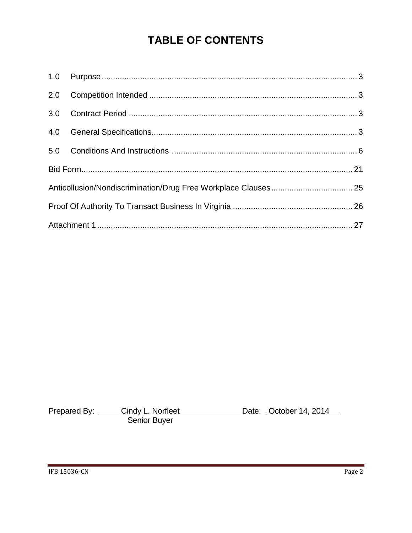# **TABLE OF CONTENTS**

Prepared By: Cindy L. Norfleet Date: October 14, 2014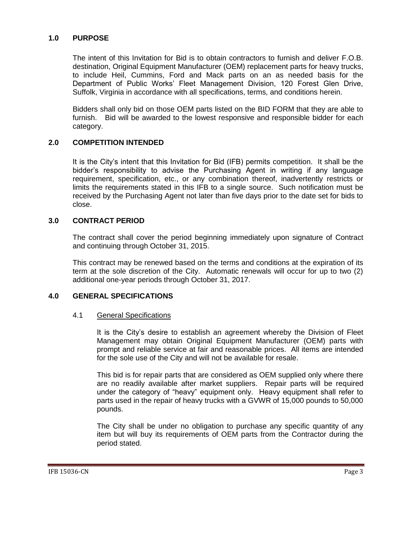#### <span id="page-2-0"></span>**1.0 PURPOSE**

The intent of this Invitation for Bid is to obtain contractors to furnish and deliver F.O.B. destination, Original Equipment Manufacturer (OEM) replacement parts for heavy trucks, to include Heil, Cummins, Ford and Mack parts on an as needed basis for the Department of Public Works' Fleet Management Division, 120 Forest Glen Drive, Suffolk, Virginia in accordance with all specifications, terms, and conditions herein.

Bidders shall only bid on those OEM parts listed on the BID FORM that they are able to furnish. Bid will be awarded to the lowest responsive and responsible bidder for each category.

#### <span id="page-2-1"></span>**2.0 COMPETITION INTENDED**

It is the City's intent that this Invitation for Bid (IFB) permits competition. It shall be the bidder's responsibility to advise the Purchasing Agent in writing if any language requirement, specification, etc., or any combination thereof, inadvertently restricts or limits the requirements stated in this IFB to a single source. Such notification must be received by the Purchasing Agent not later than five days prior to the date set for bids to close.

#### <span id="page-2-2"></span>**3.0 CONTRACT PERIOD**

The contract shall cover the period beginning immediately upon signature of Contract and continuing through October 31, 2015.

This contract may be renewed based on the terms and conditions at the expiration of its term at the sole discretion of the City. Automatic renewals will occur for up to two (2) additional one-year periods through October 31, 2017.

#### <span id="page-2-3"></span>**4.0 GENERAL SPECIFICATIONS**

#### 4.1 General Specifications

It is the City's desire to establish an agreement whereby the Division of Fleet Management may obtain Original Equipment Manufacturer (OEM) parts with prompt and reliable service at fair and reasonable prices. All items are intended for the sole use of the City and will not be available for resale.

This bid is for repair parts that are considered as OEM supplied only where there are no readily available after market suppliers. Repair parts will be required under the category of "heavy" equipment only. Heavy equipment shall refer to parts used in the repair of heavy trucks with a GVWR of 15,000 pounds to 50,000 pounds.

The City shall be under no obligation to purchase any specific quantity of any item but will buy its requirements of OEM parts from the Contractor during the period stated.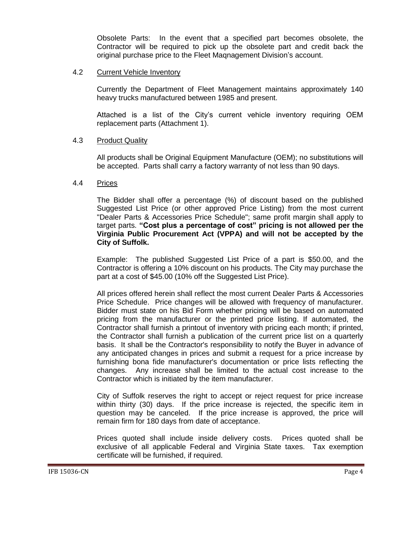Obsolete Parts: In the event that a specified part becomes obsolete, the Contractor will be required to pick up the obsolete part and credit back the original purchase price to the Fleet Maqnagement Division's account.

#### 4.2 Current Vehicle Inventory

Currently the Department of Fleet Management maintains approximately 140 heavy trucks manufactured between 1985 and present.

Attached is a list of the City's current vehicle inventory requiring OEM replacement parts (Attachment 1).

#### 4.3 Product Quality

All products shall be Original Equipment Manufacture (OEM); no substitutions will be accepted. Parts shall carry a factory warranty of not less than 90 days.

#### 4.4 Prices

The Bidder shall offer a percentage (%) of discount based on the published Suggested List Price (or other approved Price Listing) from the most current "Dealer Parts & Accessories Price Schedule"; same profit margin shall apply to target parts. **"Cost plus a percentage of cost" pricing is not allowed per the Virginia Public Procurement Act (VPPA) and will not be accepted by the City of Suffolk.**

Example: The published Suggested List Price of a part is \$50.00, and the Contractor is offering a 10% discount on his products. The City may purchase the part at a cost of \$45.00 (10% off the Suggested List Price).

All prices offered herein shall reflect the most current Dealer Parts & Accessories Price Schedule. Price changes will be allowed with frequency of manufacturer. Bidder must state on his Bid Form whether pricing will be based on automated pricing from the manufacturer or the printed price listing. If automated, the Contractor shall furnish a printout of inventory with pricing each month; if printed, the Contractor shall furnish a publication of the current price list on a quarterly basis. It shall be the Contractor's responsibility to notify the Buyer in advance of any anticipated changes in prices and submit a request for a price increase by furnishing bona fide manufacturer's documentation or price lists reflecting the changes. Any increase shall be limited to the actual cost increase to the Contractor which is initiated by the item manufacturer.

City of Suffolk reserves the right to accept or reject request for price increase within thirty (30) days. If the price increase is rejected, the specific item in question may be canceled. If the price increase is approved, the price will remain firm for 180 days from date of acceptance.

Prices quoted shall include inside delivery costs. Prices quoted shall be exclusive of all applicable Federal and Virginia State taxes. Tax exemption certificate will be furnished, if required.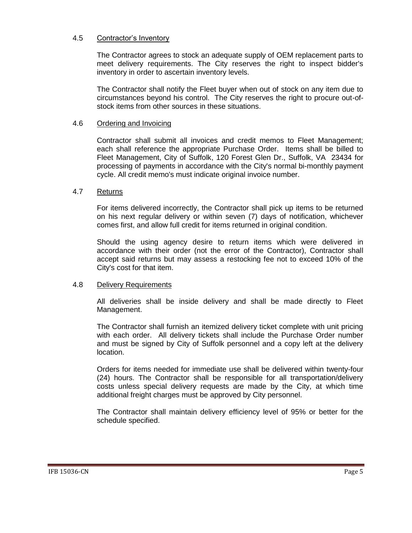#### 4.5 Contractor's Inventory

The Contractor agrees to stock an adequate supply of OEM replacement parts to meet delivery requirements. The City reserves the right to inspect bidder's inventory in order to ascertain inventory levels.

The Contractor shall notify the Fleet buyer when out of stock on any item due to circumstances beyond his control. The City reserves the right to procure out-ofstock items from other sources in these situations.

#### 4.6 Ordering and Invoicing

Contractor shall submit all invoices and credit memos to Fleet Management; each shall reference the appropriate Purchase Order. Items shall be billed to Fleet Management, City of Suffolk, 120 Forest Glen Dr., Suffolk, VA 23434 for processing of payments in accordance with the City's normal bi-monthly payment cycle. All credit memo's must indicate original invoice number.

#### 4.7 Returns

For items delivered incorrectly, the Contractor shall pick up items to be returned on his next regular delivery or within seven (7) days of notification, whichever comes first, and allow full credit for items returned in original condition.

Should the using agency desire to return items which were delivered in accordance with their order (not the error of the Contractor), Contractor shall accept said returns but may assess a restocking fee not to exceed 10% of the City's cost for that item.

#### 4.8 Delivery Requirements

All deliveries shall be inside delivery and shall be made directly to Fleet Management.

The Contractor shall furnish an itemized delivery ticket complete with unit pricing with each order. All delivery tickets shall include the Purchase Order number and must be signed by City of Suffolk personnel and a copy left at the delivery location.

Orders for items needed for immediate use shall be delivered within twenty-four (24) hours. The Contractor shall be responsible for all transportation/delivery costs unless special delivery requests are made by the City, at which time additional freight charges must be approved by City personnel.

The Contractor shall maintain delivery efficiency level of 95% or better for the schedule specified.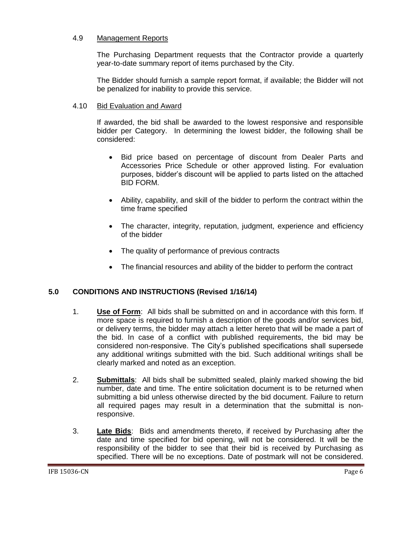#### 4.9 Management Reports

The Purchasing Department requests that the Contractor provide a quarterly year-to-date summary report of items purchased by the City.

The Bidder should furnish a sample report format, if available; the Bidder will not be penalized for inability to provide this service.

#### 4.10 Bid Evaluation and Award

If awarded, the bid shall be awarded to the lowest responsive and responsible bidder per Category. In determining the lowest bidder, the following shall be considered:

- Bid price based on percentage of discount from Dealer Parts and Accessories Price Schedule or other approved listing. For evaluation purposes, bidder's discount will be applied to parts listed on the attached BID FORM.
- Ability, capability, and skill of the bidder to perform the contract within the time frame specified
- The character, integrity, reputation, judgment, experience and efficiency of the bidder
- The quality of performance of previous contracts
- The financial resources and ability of the bidder to perform the contract

#### <span id="page-5-0"></span>**5.0 CONDITIONS AND INSTRUCTIONS (Revised 1/16/14)**

- 1. **Use of Form**: All bids shall be submitted on and in accordance with this form. If more space is required to furnish a description of the goods and/or services bid, or delivery terms, the bidder may attach a letter hereto that will be made a part of the bid. In case of a conflict with published requirements, the bid may be considered non-responsive. The City's published specifications shall supersede any additional writings submitted with the bid. Such additional writings shall be clearly marked and noted as an exception.
- 2. **Submittals**: All bids shall be submitted sealed, plainly marked showing the bid number, date and time. The entire solicitation document is to be returned when submitting a bid unless otherwise directed by the bid document. Failure to return all required pages may result in a determination that the submittal is nonresponsive.
- 3. **Late Bids**: Bids and amendments thereto, if received by Purchasing after the date and time specified for bid opening, will not be considered. It will be the responsibility of the bidder to see that their bid is received by Purchasing as specified. There will be no exceptions. Date of postmark will not be considered.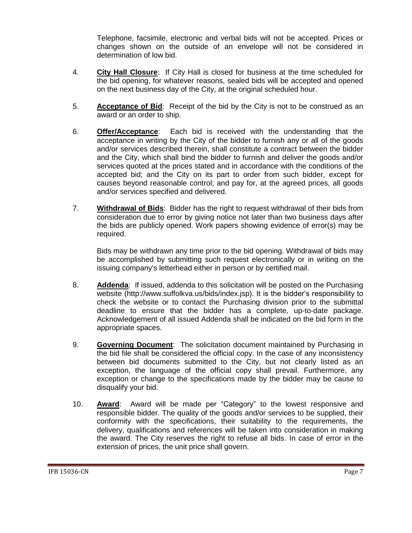Telephone, facsimile, electronic and verbal bids will not be accepted. Prices or changes shown on the outside of an envelope will not be considered in determination of low bid.

- 4. **City Hall Closure**: If City Hall is closed for business at the time scheduled for the bid opening, for whatever reasons, sealed bids will be accepted and opened on the next business day of the City, at the original scheduled hour.
- 5. **Acceptance of Bid**: Receipt of the bid by the City is not to be construed as an award or an order to ship.
- 6. **Offer/Acceptance**: Each bid is received with the understanding that the acceptance in writing by the City of the bidder to furnish any or all of the goods and/or services described therein, shall constitute a contract between the bidder and the City, which shall bind the bidder to furnish and deliver the goods and/or services quoted at the prices stated and in accordance with the conditions of the accepted bid; and the City on its part to order from such bidder, except for causes beyond reasonable control; and pay for, at the agreed prices, all goods and/or services specified and delivered.
- 7. **Withdrawal of Bids**: Bidder has the right to request withdrawal of their bids from consideration due to error by giving notice not later than two business days after the bids are publicly opened. Work papers showing evidence of error(s) may be required.

Bids may be withdrawn any time prior to the bid opening. Withdrawal of bids may be accomplished by submitting such request electronically or in writing on the issuing company's letterhead either in person or by certified mail.

- 8. **Addenda**: If issued, addenda to this solicitation will be posted on the Purchasing website (http://www.suffolkva.us/bids/index.jsp). It is the bidder's responsibility to check the website or to contact the Purchasing division prior to the submittal deadline to ensure that the bidder has a complete, up-to-date package. Acknowledgement of all issued Addenda shall be indicated on the bid form in the appropriate spaces.
- 9. **Governing Document**: The solicitation document maintained by Purchasing in the bid file shall be considered the official copy. In the case of any inconsistency between bid documents submitted to the City, but not clearly listed as an exception, the language of the official copy shall prevail. Furthermore, any exception or change to the specifications made by the bidder may be cause to disqualify your bid.
- 10. **Award**: Award will be made per "Category" to the lowest responsive and responsible bidder. The quality of the goods and/or services to be supplied, their conformity with the specifications, their suitability to the requirements, the delivery, qualifications and references will be taken into consideration in making the award. The City reserves the right to refuse all bids. In case of error in the extension of prices, the unit price shall govern.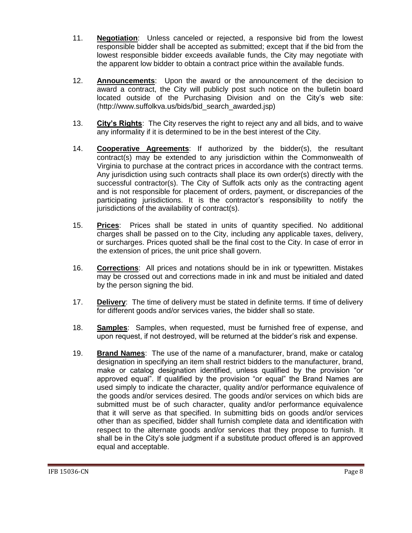- 11. **Negotiation**: Unless canceled or rejected, a responsive bid from the lowest responsible bidder shall be accepted as submitted; except that if the bid from the lowest responsible bidder exceeds available funds, the City may negotiate with the apparent low bidder to obtain a contract price within the available funds.
- 12. **Announcements**: Upon the award or the announcement of the decision to award a contract, the City will publicly post such notice on the bulletin board located outside of the Purchasing Division and on the City's web site: (http://www.suffolkva.us/bids/bid\_search\_awarded.jsp)
- 13. **City's Rights**: The City reserves the right to reject any and all bids, and to waive any informality if it is determined to be in the best interest of the City.
- 14. **Cooperative Agreements**: If authorized by the bidder(s), the resultant contract(s) may be extended to any jurisdiction within the Commonwealth of Virginia to purchase at the contract prices in accordance with the contract terms. Any jurisdiction using such contracts shall place its own order(s) directly with the successful contractor(s). The City of Suffolk acts only as the contracting agent and is not responsible for placement of orders, payment, or discrepancies of the participating jurisdictions. It is the contractor's responsibility to notify the jurisdictions of the availability of contract(s).
- 15. **Prices**: Prices shall be stated in units of quantity specified. No additional charges shall be passed on to the City, including any applicable taxes, delivery, or surcharges. Prices quoted shall be the final cost to the City. In case of error in the extension of prices, the unit price shall govern.
- 16. **Corrections**: All prices and notations should be in ink or typewritten. Mistakes may be crossed out and corrections made in ink and must be initialed and dated by the person signing the bid.
- 17. **Delivery**: The time of delivery must be stated in definite terms. If time of delivery for different goods and/or services varies, the bidder shall so state.
- 18. **Samples**: Samples, when requested, must be furnished free of expense, and upon request, if not destroyed, will be returned at the bidder's risk and expense.
- 19. **Brand Names**: The use of the name of a manufacturer, brand, make or catalog designation in specifying an item shall restrict bidders to the manufacturer, brand, make or catalog designation identified, unless qualified by the provision "or approved equal". If qualified by the provision "or equal" the Brand Names are used simply to indicate the character, quality and/or performance equivalence of the goods and/or services desired. The goods and/or services on which bids are submitted must be of such character, quality and/or performance equivalence that it will serve as that specified. In submitting bids on goods and/or services other than as specified, bidder shall furnish complete data and identification with respect to the alternate goods and/or services that they propose to furnish. It shall be in the City's sole judgment if a substitute product offered is an approved equal and acceptable.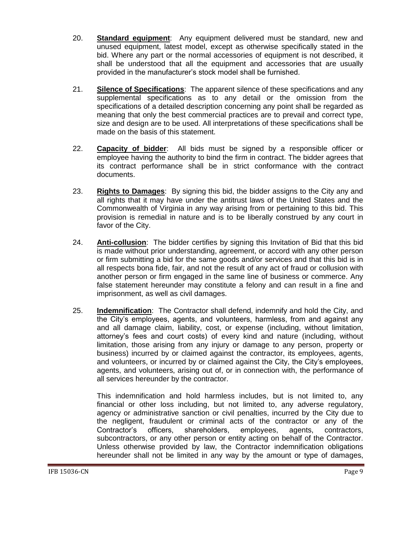- 20. **Standard equipment**: Any equipment delivered must be standard, new and unused equipment, latest model, except as otherwise specifically stated in the bid. Where any part or the normal accessories of equipment is not described, it shall be understood that all the equipment and accessories that are usually provided in the manufacturer's stock model shall be furnished.
- 21. **Silence of Specifications**: The apparent silence of these specifications and any supplemental specifications as to any detail or the omission from the specifications of a detailed description concerning any point shall be regarded as meaning that only the best commercial practices are to prevail and correct type, size and design are to be used. All interpretations of these specifications shall be made on the basis of this statement.
- 22. **Capacity of bidder**: All bids must be signed by a responsible officer or employee having the authority to bind the firm in contract. The bidder agrees that its contract performance shall be in strict conformance with the contract documents.
- 23. **Rights to Damages**: By signing this bid, the bidder assigns to the City any and all rights that it may have under the antitrust laws of the United States and the Commonwealth of Virginia in any way arising from or pertaining to this bid. This provision is remedial in nature and is to be liberally construed by any court in favor of the City.
- 24. **Anti-collusion**: The bidder certifies by signing this Invitation of Bid that this bid is made without prior understanding, agreement, or accord with any other person or firm submitting a bid for the same goods and/or services and that this bid is in all respects bona fide, fair, and not the result of any act of fraud or collusion with another person or firm engaged in the same line of business or commerce. Any false statement hereunder may constitute a felony and can result in a fine and imprisonment, as well as civil damages.
- 25. **Indemnification**: The Contractor shall defend, indemnify and hold the City, and the City's employees, agents, and volunteers, harmless, from and against any and all damage claim, liability, cost, or expense (including, without limitation, attorney's fees and court costs) of every kind and nature (including, without limitation, those arising from any injury or damage to any person, property or business) incurred by or claimed against the contractor, its employees, agents, and volunteers, or incurred by or claimed against the City, the City's employees, agents, and volunteers, arising out of, or in connection with, the performance of all services hereunder by the contractor.

This indemnification and hold harmless includes, but is not limited to, any financial or other loss including, but not limited to, any adverse regulatory, agency or administrative sanction or civil penalties, incurred by the City due to the negligent, fraudulent or criminal acts of the contractor or any of the Contractor's officers, shareholders, employees, agents, contractors, subcontractors, or any other person or entity acting on behalf of the Contractor. Unless otherwise provided by law, the Contractor indemnification obligations hereunder shall not be limited in any way by the amount or type of damages,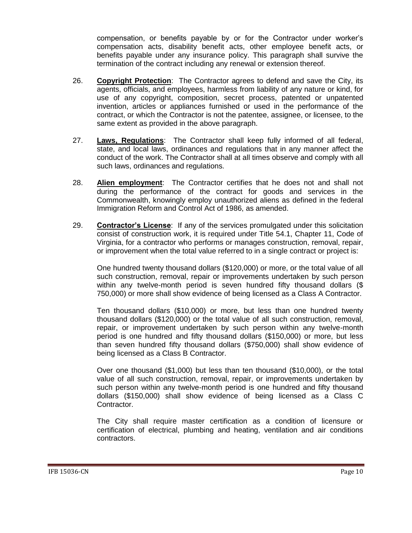compensation, or benefits payable by or for the Contractor under worker's compensation acts, disability benefit acts, other employee benefit acts, or benefits payable under any insurance policy. This paragraph shall survive the termination of the contract including any renewal or extension thereof.

- 26. **Copyright Protection**: The Contractor agrees to defend and save the City, its agents, officials, and employees, harmless from liability of any nature or kind, for use of any copyright, composition, secret process, patented or unpatented invention, articles or appliances furnished or used in the performance of the contract, or which the Contractor is not the patentee, assignee, or licensee, to the same extent as provided in the above paragraph.
- 27. **Laws, Regulations**: The Contractor shall keep fully informed of all federal, state, and local laws, ordinances and regulations that in any manner affect the conduct of the work. The Contractor shall at all times observe and comply with all such laws, ordinances and regulations.
- 28. **Alien employment**: The Contractor certifies that he does not and shall not during the performance of the contract for goods and services in the Commonwealth, knowingly employ unauthorized aliens as defined in the federal Immigration Reform and Control Act of 1986, as amended.
- 29. **Contractor's License**: If any of the services promulgated under this solicitation consist of construction work, it is required under Title 54.1, Chapter 11, Code of Virginia, for a contractor who performs or manages construction, removal, repair, or improvement when the total value referred to in a single contract or project is:

One hundred twenty thousand dollars (\$120,000) or more, or the total value of all such construction, removal, repair or improvements undertaken by such person within any twelve-month period is seven hundred fifty thousand dollars (\$ 750,000) or more shall show evidence of being licensed as a Class A Contractor.

Ten thousand dollars (\$10,000) or more, but less than one hundred twenty thousand dollars (\$120,000) or the total value of all such construction, removal, repair, or improvement undertaken by such person within any twelve-month period is one hundred and fifty thousand dollars (\$150,000) or more, but less than seven hundred fifty thousand dollars (\$750,000) shall show evidence of being licensed as a Class B Contractor.

Over one thousand (\$1,000) but less than ten thousand (\$10,000), or the total value of all such construction, removal, repair, or improvements undertaken by such person within any twelve-month period is one hundred and fifty thousand dollars (\$150,000) shall show evidence of being licensed as a Class C Contractor.

The City shall require master certification as a condition of licensure or certification of electrical, plumbing and heating, ventilation and air conditions contractors.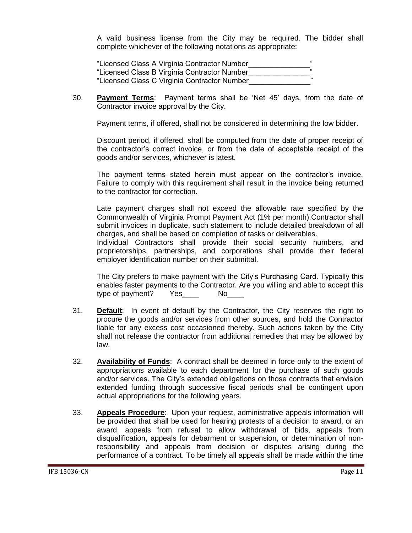A valid business license from the City may be required. The bidder shall complete whichever of the following notations as appropriate:

| "Licensed Class A Virginia Contractor Number |  |
|----------------------------------------------|--|
| "Licensed Class B Virginia Contractor Number |  |
| "Licensed Class C Virginia Contractor Number |  |

30. **Payment Terms**: Payment terms shall be 'Net 45' days, from the date of Contractor invoice approval by the City.

Payment terms, if offered, shall not be considered in determining the low bidder.

Discount period, if offered, shall be computed from the date of proper receipt of the contractor's correct invoice, or from the date of acceptable receipt of the goods and/or services, whichever is latest.

The payment terms stated herein must appear on the contractor's invoice. Failure to comply with this requirement shall result in the invoice being returned to the contractor for correction.

Late payment charges shall not exceed the allowable rate specified by the Commonwealth of Virginia Prompt Payment Act (1% per month).Contractor shall submit invoices in duplicate, such statement to include detailed breakdown of all charges, and shall be based on completion of tasks or deliverables.

Individual Contractors shall provide their social security numbers, and proprietorships, partnerships, and corporations shall provide their federal employer identification number on their submittal.

The City prefers to make payment with the City's Purchasing Card. Typically this enables faster payments to the Contractor. Are you willing and able to accept this type of payment? Yes No

- 31. **Default**: In event of default by the Contractor, the City reserves the right to procure the goods and/or services from other sources, and hold the Contractor liable for any excess cost occasioned thereby. Such actions taken by the City shall not release the contractor from additional remedies that may be allowed by law.
- 32. **Availability of Funds**: A contract shall be deemed in force only to the extent of appropriations available to each department for the purchase of such goods and/or services. The City's extended obligations on those contracts that envision extended funding through successive fiscal periods shall be contingent upon actual appropriations for the following years.
- 33. **Appeals Procedure**: Upon your request, administrative appeals information will be provided that shall be used for hearing protests of a decision to award, or an award, appeals from refusal to allow withdrawal of bids, appeals from disqualification, appeals for debarment or suspension, or determination of nonresponsibility and appeals from decision or disputes arising during the performance of a contract. To be timely all appeals shall be made within the time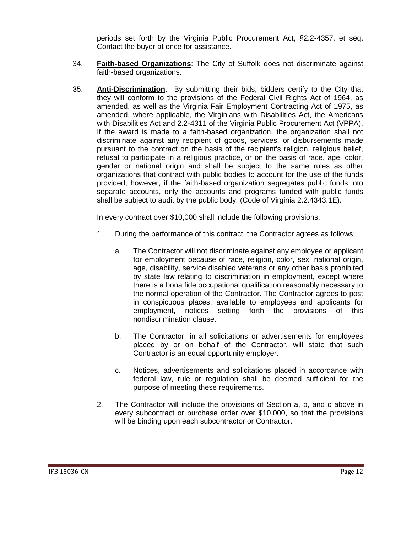periods set forth by the Virginia Public Procurement Act, §2.2-4357, et seq. Contact the buyer at once for assistance.

- 34. **Faith-based Organizations**: The City of Suffolk does not discriminate against faith-based organizations.
- 35. **Anti-Discrimination**: By submitting their bids, bidders certify to the City that they will conform to the provisions of the Federal Civil Rights Act of 1964, as amended, as well as the Virginia Fair Employment Contracting Act of 1975, as amended, where applicable, the Virginians with Disabilities Act, the Americans with Disabilities Act and 2.2-4311 of the Virginia Public Procurement Act (VPPA). If the award is made to a faith-based organization, the organization shall not discriminate against any recipient of goods, services, or disbursements made pursuant to the contract on the basis of the recipient's religion, religious belief, refusal to participate in a religious practice, or on the basis of race, age, color, gender or national origin and shall be subject to the same rules as other organizations that contract with public bodies to account for the use of the funds provided; however, if the faith-based organization segregates public funds into separate accounts, only the accounts and programs funded with public funds shall be subject to audit by the public body. (Code of Virginia 2.2.4343.1E).

In every contract over \$10,000 shall include the following provisions:

- 1. During the performance of this contract, the Contractor agrees as follows:
	- a. The Contractor will not discriminate against any employee or applicant for employment because of race, religion, color, sex, national origin, age, disability, service disabled veterans or any other basis prohibited by state law relating to discrimination in employment, except where there is a bona fide occupational qualification reasonably necessary to the normal operation of the Contractor. The Contractor agrees to post in conspicuous places, available to employees and applicants for employment, notices setting forth the provisions of this nondiscrimination clause.
	- b. The Contractor, in all solicitations or advertisements for employees placed by or on behalf of the Contractor, will state that such Contractor is an equal opportunity employer.
	- c. Notices, advertisements and solicitations placed in accordance with federal law, rule or regulation shall be deemed sufficient for the purpose of meeting these requirements.
- 2. The Contractor will include the provisions of Section a, b, and c above in every subcontract or purchase order over \$10,000, so that the provisions will be binding upon each subcontractor or Contractor.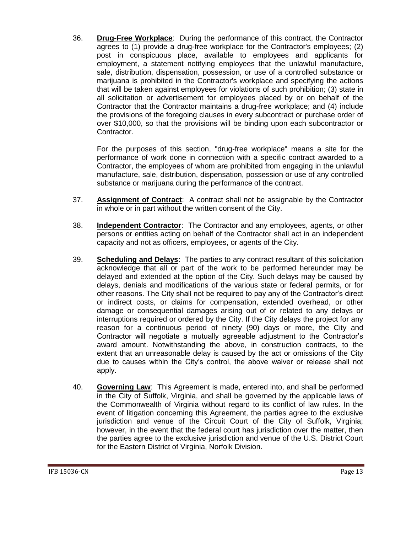36. **Drug-Free Workplace**: During the performance of this contract, the Contractor agrees to (1) provide a drug-free workplace for the Contractor's employees; (2) post in conspicuous place, available to employees and applicants for employment, a statement notifying employees that the unlawful manufacture, sale, distribution, dispensation, possession, or use of a controlled substance or marijuana is prohibited in the Contractor's workplace and specifying the actions that will be taken against employees for violations of such prohibition; (3) state in all solicitation or advertisement for employees placed by or on behalf of the Contractor that the Contractor maintains a drug-free workplace; and (4) include the provisions of the foregoing clauses in every subcontract or purchase order of over \$10,000, so that the provisions will be binding upon each subcontractor or Contractor.

For the purposes of this section, "drug-free workplace" means a site for the performance of work done in connection with a specific contract awarded to a Contractor, the employees of whom are prohibited from engaging in the unlawful manufacture, sale, distribution, dispensation, possession or use of any controlled substance or marijuana during the performance of the contract.

- 37. **Assignment of Contract**: A contract shall not be assignable by the Contractor in whole or in part without the written consent of the City.
- 38. **Independent Contractor**: The Contractor and any employees, agents, or other persons or entities acting on behalf of the Contractor shall act in an independent capacity and not as officers, employees, or agents of the City.
- 39. **Scheduling and Delays**: The parties to any contract resultant of this solicitation acknowledge that all or part of the work to be performed hereunder may be delayed and extended at the option of the City. Such delays may be caused by delays, denials and modifications of the various state or federal permits, or for other reasons. The City shall not be required to pay any of the Contractor's direct or indirect costs, or claims for compensation, extended overhead, or other damage or consequential damages arising out of or related to any delays or interruptions required or ordered by the City. If the City delays the project for any reason for a continuous period of ninety (90) days or more, the City and Contractor will negotiate a mutually agreeable adjustment to the Contractor's award amount. Notwithstanding the above, in construction contracts, to the extent that an unreasonable delay is caused by the act or omissions of the City due to causes within the City's control, the above waiver or release shall not apply.
- 40. **Governing Law**: This Agreement is made, entered into, and shall be performed in the City of Suffolk, Virginia, and shall be governed by the applicable laws of the Commonwealth of Virginia without regard to its conflict of law rules. In the event of litigation concerning this Agreement, the parties agree to the exclusive jurisdiction and venue of the Circuit Court of the City of Suffolk, Virginia; however, in the event that the federal court has jurisdiction over the matter, then the parties agree to the exclusive jurisdiction and venue of the U.S. District Court for the Eastern District of Virginia, Norfolk Division.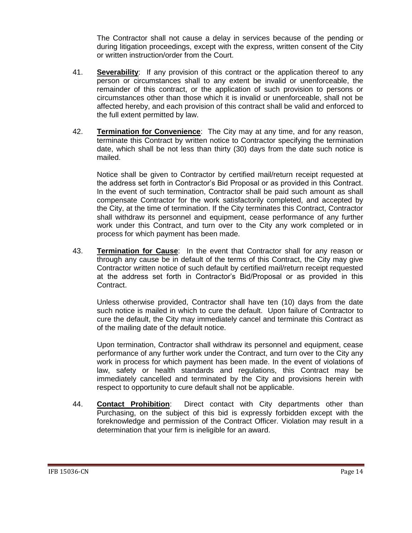The Contractor shall not cause a delay in services because of the pending or during litigation proceedings, except with the express, written consent of the City or written instruction/order from the Court.

- 41. **Severability**: If any provision of this contract or the application thereof to any person or circumstances shall to any extent be invalid or unenforceable, the remainder of this contract, or the application of such provision to persons or circumstances other than those which it is invalid or unenforceable, shall not be affected hereby, and each provision of this contract shall be valid and enforced to the full extent permitted by law.
- 42. **Termination for Convenience**: The City may at any time, and for any reason, terminate this Contract by written notice to Contractor specifying the termination date, which shall be not less than thirty (30) days from the date such notice is mailed.

Notice shall be given to Contractor by certified mail/return receipt requested at the address set forth in Contractor's Bid Proposal or as provided in this Contract. In the event of such termination, Contractor shall be paid such amount as shall compensate Contractor for the work satisfactorily completed, and accepted by the City, at the time of termination. If the City terminates this Contract, Contractor shall withdraw its personnel and equipment, cease performance of any further work under this Contract, and turn over to the City any work completed or in process for which payment has been made.

43. **Termination for Cause**: In the event that Contractor shall for any reason or through any cause be in default of the terms of this Contract, the City may give Contractor written notice of such default by certified mail/return receipt requested at the address set forth in Contractor's Bid/Proposal or as provided in this Contract.

Unless otherwise provided, Contractor shall have ten (10) days from the date such notice is mailed in which to cure the default. Upon failure of Contractor to cure the default, the City may immediately cancel and terminate this Contract as of the mailing date of the default notice.

Upon termination, Contractor shall withdraw its personnel and equipment, cease performance of any further work under the Contract, and turn over to the City any work in process for which payment has been made. In the event of violations of law, safety or health standards and regulations, this Contract may be immediately cancelled and terminated by the City and provisions herein with respect to opportunity to cure default shall not be applicable.

44. **Contact Prohibition**: Direct contact with City departments other than Purchasing, on the subject of this bid is expressly forbidden except with the foreknowledge and permission of the Contract Officer. Violation may result in a determination that your firm is ineligible for an award.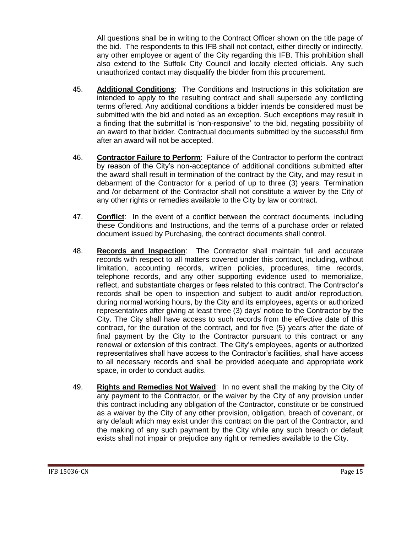All questions shall be in writing to the Contract Officer shown on the title page of the bid. The respondents to this IFB shall not contact, either directly or indirectly, any other employee or agent of the City regarding this IFB. This prohibition shall also extend to the Suffolk City Council and locally elected officials. Any such unauthorized contact may disqualify the bidder from this procurement.

- 45. **Additional Conditions**: The Conditions and Instructions in this solicitation are intended to apply to the resulting contract and shall supersede any conflicting terms offered. Any additional conditions a bidder intends be considered must be submitted with the bid and noted as an exception. Such exceptions may result in a finding that the submittal is 'non-responsive' to the bid, negating possibility of an award to that bidder. Contractual documents submitted by the successful firm after an award will not be accepted.
- 46. **Contractor Failure to Perform**: Failure of the Contractor to perform the contract by reason of the City's non-acceptance of additional conditions submitted after the award shall result in termination of the contract by the City, and may result in debarment of the Contractor for a period of up to three (3) years. Termination and /or debarment of the Contractor shall not constitute a waiver by the City of any other rights or remedies available to the City by law or contract.
- 47. **Conflict**: In the event of a conflict between the contract documents, including these Conditions and Instructions, and the terms of a purchase order or related document issued by Purchasing, the contract documents shall control.
- 48. **Records and Inspection**: The Contractor shall maintain full and accurate records with respect to all matters covered under this contract, including, without limitation, accounting records, written policies, procedures, time records, telephone records, and any other supporting evidence used to memorialize, reflect, and substantiate charges or fees related to this contract. The Contractor's records shall be open to inspection and subject to audit and/or reproduction, during normal working hours, by the City and its employees, agents or authorized representatives after giving at least three (3) days' notice to the Contractor by the City. The City shall have access to such records from the effective date of this contract, for the duration of the contract, and for five (5) years after the date of final payment by the City to the Contractor pursuant to this contract or any renewal or extension of this contract. The City's employees, agents or authorized representatives shall have access to the Contractor's facilities, shall have access to all necessary records and shall be provided adequate and appropriate work space, in order to conduct audits.
- 49. **Rights and Remedies Not Waived**: In no event shall the making by the City of any payment to the Contractor, or the waiver by the City of any provision under this contract including any obligation of the Contractor, constitute or be construed as a waiver by the City of any other provision, obligation, breach of covenant, or any default which may exist under this contract on the part of the Contractor, and the making of any such payment by the City while any such breach or default exists shall not impair or prejudice any right or remedies available to the City.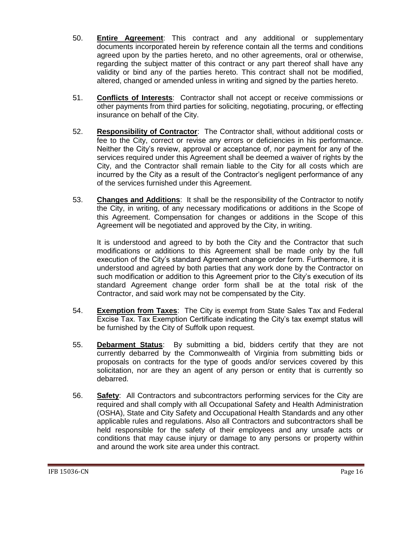- 50. **Entire Agreement**: This contract and any additional or supplementary documents incorporated herein by reference contain all the terms and conditions agreed upon by the parties hereto, and no other agreements, oral or otherwise, regarding the subject matter of this contract or any part thereof shall have any validity or bind any of the parties hereto. This contract shall not be modified, altered, changed or amended unless in writing and signed by the parties hereto.
- 51. **Conflicts of Interests**: Contractor shall not accept or receive commissions or other payments from third parties for soliciting, negotiating, procuring, or effecting insurance on behalf of the City.
- 52. **Responsibility of Contractor**: The Contractor shall, without additional costs or fee to the City, correct or revise any errors or deficiencies in his performance. Neither the City's review, approval or acceptance of, nor payment for any of the services required under this Agreement shall be deemed a waiver of rights by the City, and the Contractor shall remain liable to the City for all costs which are incurred by the City as a result of the Contractor's negligent performance of any of the services furnished under this Agreement.
- 53. **Changes and Additions**: It shall be the responsibility of the Contractor to notify the City, in writing, of any necessary modifications or additions in the Scope of this Agreement. Compensation for changes or additions in the Scope of this Agreement will be negotiated and approved by the City, in writing.

It is understood and agreed to by both the City and the Contractor that such modifications or additions to this Agreement shall be made only by the full execution of the City's standard Agreement change order form. Furthermore, it is understood and agreed by both parties that any work done by the Contractor on such modification or addition to this Agreement prior to the City's execution of its standard Agreement change order form shall be at the total risk of the Contractor, and said work may not be compensated by the City.

- 54. **Exemption from Taxes**: The City is exempt from State Sales Tax and Federal Excise Tax. Tax Exemption Certificate indicating the City's tax exempt status will be furnished by the City of Suffolk upon request.
- 55. **Debarment Status**: By submitting a bid, bidders certify that they are not currently debarred by the Commonwealth of Virginia from submitting bids or proposals on contracts for the type of goods and/or services covered by this solicitation, nor are they an agent of any person or entity that is currently so debarred.
- 56. **Safety**: All Contractors and subcontractors performing services for the City are required and shall comply with all Occupational Safety and Health Administration (OSHA), State and City Safety and Occupational Health Standards and any other applicable rules and regulations. Also all Contractors and subcontractors shall be held responsible for the safety of their employees and any unsafe acts or conditions that may cause injury or damage to any persons or property within and around the work site area under this contract.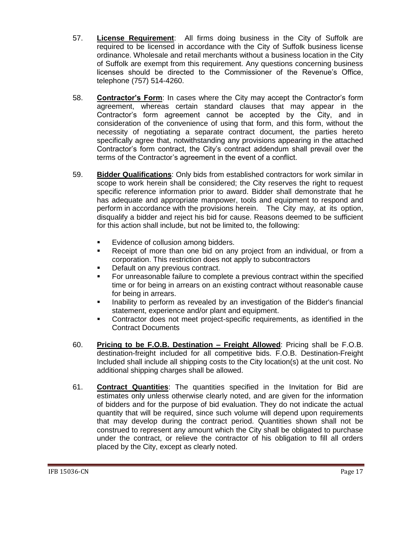- 57. **License Requirement**: All firms doing business in the City of Suffolk are required to be licensed in accordance with the City of Suffolk business license ordinance. Wholesale and retail merchants without a business location in the City of Suffolk are exempt from this requirement. Any questions concerning business licenses should be directed to the Commissioner of the Revenue's Office, telephone (757) 514-4260.
- 58. **Contractor's Form**: In cases where the City may accept the Contractor's form agreement, whereas certain standard clauses that may appear in the Contractor's form agreement cannot be accepted by the City, and in consideration of the convenience of using that form, and this form, without the necessity of negotiating a separate contract document, the parties hereto specifically agree that, notwithstanding any provisions appearing in the attached Contractor's form contract, the City's contract addendum shall prevail over the terms of the Contractor's agreement in the event of a conflict.
- 59. **Bidder Qualifications**: Only bids from established contractors for work similar in scope to work herein shall be considered; the City reserves the right to request specific reference information prior to award. Bidder shall demonstrate that he has adequate and appropriate manpower, tools and equipment to respond and perform in accordance with the provisions herein. The City may, at its option, disqualify a bidder and reject his bid for cause. Reasons deemed to be sufficient for this action shall include, but not be limited to, the following:
	- Evidence of collusion among bidders.
	- Receipt of more than one bid on any project from an individual, or from a corporation. This restriction does not apply to subcontractors
	- **Default on any previous contract.**
	- For unreasonable failure to complete a previous contract within the specified time or for being in arrears on an existing contract without reasonable cause for being in arrears.
	- Inability to perform as revealed by an investigation of the Bidder's financial statement, experience and/or plant and equipment.
	- Contractor does not meet project-specific requirements, as identified in the Contract Documents
- 60. **Pricing to be F.O.B. Destination – Freight Allowed**: Pricing shall be F.O.B. destination-freight included for all competitive bids. F.O.B. Destination-Freight Included shall include all shipping costs to the City location(s) at the unit cost. No additional shipping charges shall be allowed.
- 61. **Contract Quantities**: The quantities specified in the Invitation for Bid are estimates only unless otherwise clearly noted, and are given for the information of bidders and for the purpose of bid evaluation. They do not indicate the actual quantity that will be required, since such volume will depend upon requirements that may develop during the contract period. Quantities shown shall not be construed to represent any amount which the City shall be obligated to purchase under the contract, or relieve the contractor of his obligation to fill all orders placed by the City, except as clearly noted.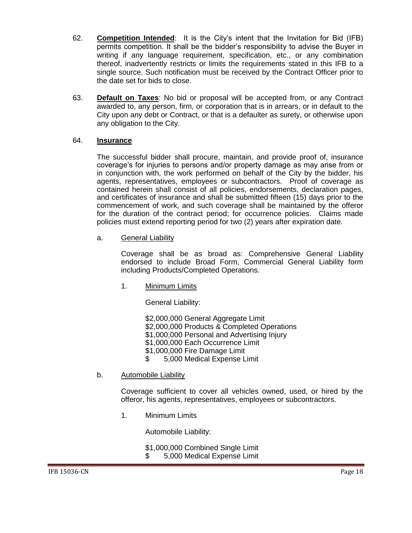- 62. **Competition Intended**: It is the City's intent that the Invitation for Bid (IFB) permits competition. It shall be the bidder's responsibility to advise the Buyer in writing if any language requirement, specification, etc., or any combination thereof, inadvertently restricts or limits the requirements stated in this IFB to a single source. Such notification must be received by the Contract Officer prior to the date set for bids to close.
- 63. **Default on Taxes**: No bid or proposal will be accepted from, or any Contract awarded to, any person, firm, or corporation that is in arrears, or in default to the City upon any debt or Contract, or that is a defaulter as surety, or otherwise upon any obligation to the City.

#### 64. **Insurance**

The successful bidder shall procure, maintain, and provide proof of, insurance coverage's for injuries to persons and/or property damage as may arise from or in conjunction with, the work performed on behalf of the City by the bidder, his agents, representatives, employees or subcontractors. Proof of coverage as contained herein shall consist of all policies, endorsements, declaration pages, and certificates of insurance and shall be submitted fifteen (15) days prior to the commencement of work, and such coverage shall be maintained by the offeror for the duration of the contract period; for occurrence policies. Claims made policies must extend reporting period for two (2) years after expiration date.

a. General Liability

Coverage shall be as broad as: Comprehensive General Liability endorsed to include Broad Form, Commercial General Liability form including Products/Completed Operations.

1. Minimum Limits

General Liability:

\$2,000,000 General Aggregate Limit \$2,000,000 Products & Completed Operations \$1,000,000 Personal and Advertising Injury \$1,000,000 Each Occurrence Limit \$1,000,000 Fire Damage Limit<br>\$ 5.000 Medical Expense L \$ 5,000 Medical Expense Limit

b. Automobile Liability

Coverage sufficient to cover all vehicles owned, used, or hired by the offeror, his agents, representatives, employees or subcontractors.

1. Minimum Limits

Automobile Liability:

\$1,000,000 Combined Single Limit<br>\$ 5.000 Medical Expense Limit \$ 5,000 Medical Expense Limit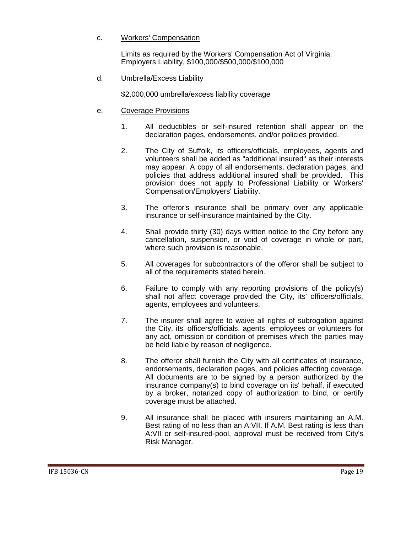#### c. Workers' Compensation

Limits as required by the Workers' Compensation Act of Virginia. Employers Liability, \$100,000/\$500,000/\$100,000

#### d. Umbrella/Excess Liability

\$2,000,000 umbrella/excess liability coverage

- e. Coverage Provisions
	- 1. All deductibles or self-insured retention shall appear on the declaration pages, endorsements, and/or policies provided.
	- 2. The City of Suffolk, its officers/officials, employees, agents and volunteers shall be added as "additional insured" as their interests may appear. A copy of all endorsements, declaration pages, and policies that address additional insured shall be provided. This provision does not apply to Professional Liability or Workers' Compensation/Employers' Liability.
	- 3. The offeror's insurance shall be primary over any applicable insurance or self-insurance maintained by the City.
	- 4. Shall provide thirty (30) days written notice to the City before any cancellation, suspension, or void of coverage in whole or part, where such provision is reasonable.
	- 5. All coverages for subcontractors of the offeror shall be subject to all of the requirements stated herein.
	- 6. Failure to comply with any reporting provisions of the policy(s) shall not affect coverage provided the City, its' officers/officials, agents, employees and volunteers.
	- 7. The insurer shall agree to waive all rights of subrogation against the City, its' officers/officials, agents, employees or volunteers for any act, omission or condition of premises which the parties may be held liable by reason of negligence.
	- 8. The offeror shall furnish the City with all certificates of insurance, endorsements, declaration pages, and policies affecting coverage. All documents are to be signed by a person authorized by the insurance company(s) to bind coverage on its' behalf, if executed by a broker, notarized copy of authorization to bind, or certify coverage must be attached.
	- 9. All insurance shall be placed with insurers maintaining an A.M. Best rating of no less than an A:VII. If A.M. Best rating is less than A:VII or self-insured-pool, approval must be received from City's Risk Manager.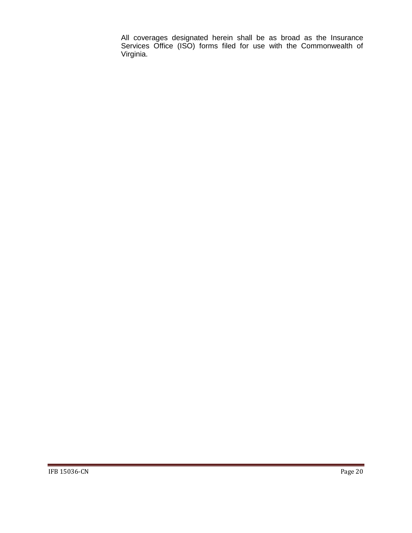All coverages designated herein shall be as broad as the Insurance Services Office (ISO) forms filed for use with the Commonwealth of Virginia.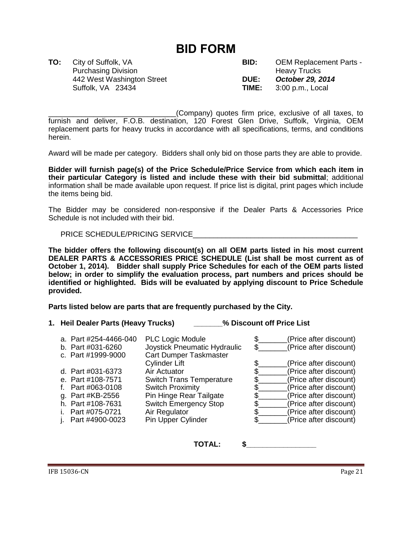## **BID FORM**

Purchasing Division **Figure 2018** Heavy Trucks Suffolk, VA 23434 **TIME:** 3:00 p.m., Local

<span id="page-20-0"></span>**TO:** City of Suffolk, VA **BID:** OEM Replacement Parts - 442 West Washington Street **DUE:** *October 29, 2014*

\_\_\_\_\_\_\_\_\_\_\_\_\_\_\_\_\_\_\_\_\_\_\_\_\_\_\_\_\_\_\_(Company) quotes firm price, exclusive of all taxes, to furnish and deliver, F.O.B. destination, 120 Forest Glen Drive, Suffolk, Virginia, OEM replacement parts for heavy trucks in accordance with all specifications, terms, and conditions herein.

Award will be made per category. Bidders shall only bid on those parts they are able to provide.

**Bidder will furnish page(s) of the Price Schedule/Price Service from which each item in their particular Category is listed and include these with their bid submittal**; additional information shall be made available upon request. If price list is digital, print pages which include the items being bid.

The Bidder may be considered non-responsive if the Dealer Parts & Accessories Price Schedule is not included with their bid.

PRICE SCHEDULE/PRICING SERVICE

**The bidder offers the following discount(s) on all OEM parts listed in his most current DEALER PARTS & ACCESSORIES PRICE SCHEDULE (List shall be most current as of October 1, 2014). Bidder shall supply Price Schedules for each of the OEM parts listed below; in order to simplify the evaluation process, part numbers and prices should be identified or highlighted. Bids will be evaluated by applying discount to Price Schedule provided.**

**Parts listed below are parts that are frequently purchased by the City.**

**1. Heil Dealer Parts (Heavy Trucks) \_\_\_\_\_\_\_% Discount off Price List**

| a. Part #254-4466-040<br>b. Part #031-6260 | <b>PLC Logic Module</b><br>Joystick Pneumatic Hydraulic | (Price after discount)<br>(Price after discount) |
|--------------------------------------------|---------------------------------------------------------|--------------------------------------------------|
| c. Part #1999-9000                         | <b>Cart Dumper Taskmaster</b><br><b>Cylinder Lift</b>   | (Price after discount)                           |
| d. Part #031-6373                          | Air Actuator                                            | (Price after discount)                           |
| e. Part #108-7571                          | <b>Switch Trans Temperature</b>                         | (Price after discount)                           |
| f. Part $\#063-0108$                       | <b>Switch Proximity</b>                                 | (Price after discount)                           |
| g. Part #KB-2556                           | Pin Hinge Rear Tailgate                                 | (Price after discount)                           |
| h. Part #108-7631                          | <b>Switch Emergency Stop</b>                            | (Price after discount)                           |
| i. Part #075-0721                          | Air Regulator                                           | (Price after discount)                           |
| i. Part $\#4900 - 0023$                    | Pin Upper Cylinder                                      | (Price after discount)                           |

**TOTAL: \$\_\_\_\_\_\_\_\_\_\_\_\_\_\_\_\_\_**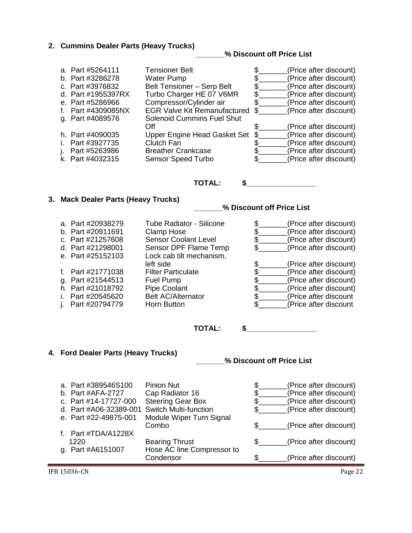#### **2. Cummins Dealer Parts (Heavy Trucks)**

**\_\_\_\_\_\_\_% Discount off Price List**

| a. Part #5264111<br>b. Part #3286278<br>c. Part #3976832<br>d. Part #1955397RX<br>e. Part #5286966<br>f. Part #4309085NX | <b>Tensioner Belt</b><br><b>Water Pump</b><br>Belt Tensioner - Serp Belt<br>Turbo Charger HE 07 V6MR<br>Compressor/Cylinder air<br><b>EGR Valve Kit Remanufactured</b> | S.<br>\$ | (Price after discount)<br>(Price after discount)<br>(Price after discount)<br>(Price after discount)<br>(Price after discount)<br>(Price after discount) |
|--------------------------------------------------------------------------------------------------------------------------|------------------------------------------------------------------------------------------------------------------------------------------------------------------------|----------|----------------------------------------------------------------------------------------------------------------------------------------------------------|
| g. Part #4089576                                                                                                         | <b>Solenoid Cummins Fuel Shut</b><br>Off                                                                                                                               |          | (Price after discount)                                                                                                                                   |
| h. Part #4090035<br>i. Part #3927735<br>j. Part #5263986<br>k. Part #4032315                                             | Upper Engine Head Gasket Set<br>Clutch Fan<br><b>Breather Crankcase</b><br><b>Sensor Speed Turbo</b>                                                                   | \$.      | (Price after discount)<br>(Price after discount)<br>(Price after discount)<br>(Price after discount)                                                     |

#### **TOTAL: \$\_\_\_\_\_\_\_\_\_\_\_\_\_\_\_\_\_**

#### **3. Mack Dealer Parts (Heavy Trucks)**

**\_\_\_\_\_\_\_% Discount off Price List**

| a. Part #20938279<br>b. Part #20911691<br>c. Part #21257608<br>d. Part #21298001<br>e. Part #25152103 | <b>Tube Radiator - Silicone</b><br>Clamp Hose<br><b>Sensor Coolant Level</b><br>Sensor DPF Flame Temp<br>Lock cab tilt mechanism, | (Price after discount)<br>(Price after discount)<br>(Price after discount)<br>(Price after discount) |
|-------------------------------------------------------------------------------------------------------|-----------------------------------------------------------------------------------------------------------------------------------|------------------------------------------------------------------------------------------------------|
|                                                                                                       | left side                                                                                                                         | (Price after discount)                                                                               |
| f. Part #21771038                                                                                     | <b>Filter Particulate</b>                                                                                                         | (Price after discount)                                                                               |
| g. Part #21544513                                                                                     | Fuel Pump                                                                                                                         | (Price after discount)                                                                               |
| h. Part #21018792                                                                                     | <b>Pipe Coolant</b>                                                                                                               | (Price after discount)                                                                               |
| i. Part #20545620                                                                                     | <b>Belt AC/Alternator</b>                                                                                                         | (Price after discount                                                                                |
| i. Part #20794779                                                                                     | Horn Button                                                                                                                       | (Price after discount                                                                                |
|                                                                                                       |                                                                                                                                   |                                                                                                      |

#### **TOTAL: \$\_\_\_\_\_\_\_\_\_\_\_\_\_\_\_\_\_**

#### **4. Ford Dealer Parts (Heavy Trucks)**

**\_\_\_\_\_\_\_% Discount off Price List**

| a. Part #389546S100                          | <b>Pinion Nut</b>          | (Price after discount) |
|----------------------------------------------|----------------------------|------------------------|
| b. Part #AFA-2727                            | Cap Radiator 16            | (Price after discount) |
| c. Part #14-17727-000                        | <b>Steering Gear Box</b>   | (Price after discount) |
| d. Part #A06-32389-001 Switch Multi-function |                            | (Price after discount) |
| e. Part #22-49875-001                        | Module Wiper Turn Signal   |                        |
|                                              | Combo                      | (Price after discount) |
| f. Part #TDA/A1228X                          |                            |                        |
| 1220                                         | <b>Bearing Thrust</b>      | (Price after discount) |
| g. Part #A6151007                            | Hose AC line Compressor to |                        |
|                                              | Condensor                  | (Price after discount) |

IFB 15036-CN Page 22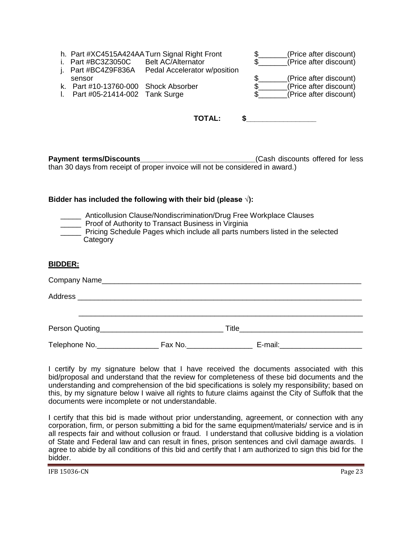|                                      | h. Part #XC4515A424AA Turn Signal Right Front | (Price after discount) |
|--------------------------------------|-----------------------------------------------|------------------------|
| i. Part $\#BC3Z3050C$                | <b>Belt AC/Alternator</b>                     | (Price after discount) |
| j. Part #BC4Z9F836A                  | Pedal Accelerator w/position                  |                        |
| sensor                               |                                               | (Price after discount) |
| k. Part #10-13760-000 Shock Absorber |                                               | (Price after discount) |
| Part #05-21414-002 Tank Surge        |                                               | (Price after discount) |

| K. Part $\#10-13760-000$ Shock Absorbe                       |  |
|--------------------------------------------------------------|--|
| $\overline{a}$ Dort $\overline{a}$ OL 04444.000. Topic Curso |  |

|  | Part #05-21414-002 Tank Surge |  |
|--|-------------------------------|--|
|--|-------------------------------|--|

| ΤΟΤΑ<br>. .<br>-- |  |
|-------------------|--|
|-------------------|--|

**Payment terms/Discounts Payment terms/Discounts Cash discounts offered for less** than 30 days from receipt of proper invoice will not be considered in award.)

#### **Bidder has included the following with their bid (please √):**

| Anticollusion Clause/Nondiscrimination/Drug Free Workplace Clauses            |
|-------------------------------------------------------------------------------|
| Proof of Authority to Transact Business in Virginia                           |
| Pricing Schedule Pages which include all parts numbers listed in the selected |
| Category                                                                      |

#### **BIDDER:**

|               |         | <b>Title The Community of the Community of the Community of the Community of the Community of the Community of the Community of the Community of the Community of the Community of the Community of the Community of the Commu</b> |  |
|---------------|---------|------------------------------------------------------------------------------------------------------------------------------------------------------------------------------------------------------------------------------------|--|
| Telephone No. | Fax No. | E-mail:                                                                                                                                                                                                                            |  |

I certify by my signature below that I have received the documents associated with this bid/proposal and understand that the review for completeness of these bid documents and the understanding and comprehension of the bid specifications is solely my responsibility; based on this, by my signature below I waive all rights to future claims against the City of Suffolk that the documents were incomplete or not understandable.

I certify that this bid is made without prior understanding, agreement, or connection with any corporation, firm, or person submitting a bid for the same equipment/materials/ service and is in all respects fair and without collusion or fraud. I understand that collusive bidding is a violation of State and Federal law and can result in fines, prison sentences and civil damage awards. I agree to abide by all conditions of this bid and certify that I am authorized to sign this bid for the bidder.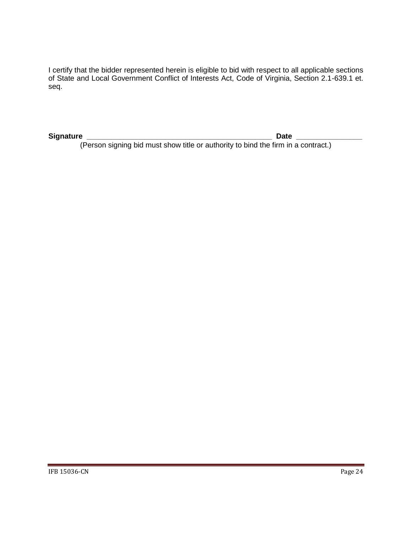I certify that the bidder represented herein is eligible to bid with respect to all applicable sections of State and Local Government Conflict of Interests Act, Code of Virginia, Section 2.1-639.1 et. seq.

**Signature \_\_\_\_\_\_\_\_\_\_\_\_\_\_\_\_\_\_\_\_\_\_\_\_\_\_\_\_\_\_\_\_\_\_\_\_\_\_\_\_\_\_\_\_\_ Date \_\_\_\_\_\_\_\_\_\_\_\_\_\_\_\_**

(Person signing bid must show title or authority to bind the firm in a contract.)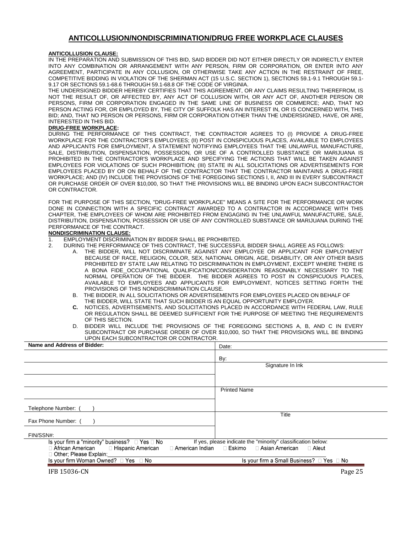#### **ANTICOLLUSION/NONDISCRIMINATION/DRUG FREE WORKPLACE CLAUSES**

#### <span id="page-24-0"></span>**ANTICOLLUSION CLAUSE:**

IN THE PREPARATION AND SUBMISSION OF THIS BID, SAID BIDDER DID NOT EITHER DIRECTLY OR INDIRECTLY ENTER INTO ANY COMBINATION OR ARRANGEMENT WITH ANY PERSON, FIRM OR CORPORATION, OR ENTER INTO ANY AGREEMENT, PARTICIPATE IN ANY COLLUSION, OR OTHERWISE TAKE ANY ACTION IN THE RESTRAINT OF FREE, COMPETITIVE BIDDING IN VIOLATION OF THE SHERMAN ACT (15 U.S.C. SECTION 1), SECTIONS 59.1-9.1 THROUGH 59.1- 9.17 OR SECTIONS 59.1-68.6 THROUGH 59.1-68.8 OF THE CODE OF VIRGINIA.

THE UNDERSIGNED BIDDER HEREBY CERTIFIES THAT THIS AGREEMENT, OR ANY CLAIMS RESULTING THEREFROM, IS NOT THE RESULT OF, OR AFFECTED BY, ANY ACT OF COLLUSION WITH, OR ANY ACT OF, ANOTHER PERSON OR PERSONS, FIRM OR CORPORATION ENGAGED IN THE SAME LINE OF BUSINESS OR COMMERCE; AND, THAT NO PERSON ACTING FOR, OR EMPLOYED BY, THE CITY OF SUFFOLK HAS AN INTEREST IN, OR IS CONCERNED WITH, THIS BID; AND, THAT NO PERSON OR PERSONS, FIRM OR CORPORATION OTHER THAN THE UNDERSIGNED, HAVE, OR ARE, INTERESTED IN THIS BID.

#### **DRUG-FREE WORKPLACE:**

DURING THE PERFORMANCE OF THIS CONTRACT, THE CONTRACTOR AGREES TO (I) PROVIDE A DRUG-FREE WORKPLACE FOR THE CONTRACTOR'S EMPLOYEES; (II) POST IN CONSPICUOUS PLACES, AVAILABLE TO EMPLOYEES AND APPLICANTS FOR EMPLOYMENT, A STATEMENT NOTIFYING EMPLOYEES THAT THE UNLAWFUL MANUFACTURE, SALE, DISTRIBUTION, DISPENSATION, POSSESSION, OR USE OF A CONTROLLED SUBSTANCE OR MARIJUANA IS PROHIBITED IN THE CONTRACTOR'S WORKPLACE AND SPECIFYING THE ACTIONS THAT WILL BE TAKEN AGAINST EMPLOYEES FOR VIOLATIONS OF SUCH PROHIBITION; (III) STATE IN ALL SOLICITATIONS OR ADVERTISEMENTS FOR EMPLOYEES PLACED BY OR ON BEHALF OF THE CONTRACTOR THAT THE CONTRACTOR MAINTAINS A DRUG-FREE WORKPLACE; AND (IV) INCLUDE THE PROVISIONS OF THE FOREGOING SECTIONS I, II, AND III IN EVERY SUBCONTRACT OR PURCHASE ORDER OF OVER \$10,000, SO THAT THE PROVISIONS WILL BE BINDING UPON EACH SUBCONTRACTOR OR CONTRACTOR.

FOR THE PURPOSE OF THIS SECTION, "DRUG-FREE WORKPLACE" MEANS A SITE FOR THE PERFORMANCE OR WORK DONE IN CONNECTION WITH A SPECIFIC CONTRACT AWARDED TO A CONTRACTOR IN ACCORDANCE WITH THIS CHAPTER, THE EMPLOYEES OF WHOM ARE PROHIBITED FROM ENGAGING IN THE UNLAWFUL MANUFACTURE, SALE, DISTRIBUTION, DISPENSATION, POSSESSION OR USE OF ANY CONTROLLED SUBSTANCE OR MARIJUANA DURING THE PERFORMANCE OF THE CONTRACT.

#### **NONDISCRIMINATION CLAUSE:**

- 1. EMPLOYMENT DISCRIMINATION BY BIDDER SHALL BE PROHIBITED.<br>2. DURING THE PERFORMANCE OF THIS CONTRACT, THE SUCCESSEL
	- 2. DURING THE PERFORMANCE OF THIS CONTRACT, THE SUCCESSFUL BIDDER SHALL AGREE AS FOLLOWS:
		- THE BIDDER, WILL NOT DISCRIMINATE AGAINST ANY EMPLOYEE OR APPLICANT FOR EMPLOYMENT BECAUSE OF RACE, RELIGION, COLOR, SEX, NATIONAL ORIGIN, AGE, DISABILITY, OR ANY OTHER BASIS PROHIBITED BY STATE LAW RELATING TO DISCRIMINATION IN EMPLOYMENT, EXCEPT WHERE THERE IS A BONA FIDE OCCUPATIONAL QUALIFICATION/CONSIDERATION REASONABLY NECESSARY TO THE NORMAL OPERATION OF THE BIDDER. THE BIDDER AGREES TO POST IN CONSPICUOUS PLACES, AVAILABLE TO EMPLOYEES AND APPLICANTS FOR EMPLOYMENT, NOTICES SETTING FORTH THE PROVISIONS OF THIS NONDISCRIMINATION CLAUSE.
		- B. THE BIDDER, IN ALL SOLICITATIONS OR ADVERTISEMENTS FOR EMPLOYEES PLACED ON BEHALF OF THE BIDDER, WILL STATE THAT SUCH BIDDER IS AN EQUAL OPPORTUNITY EMPLOYER.
		- **C.** NOTICES, ADVERTISEMENTS, AND SOLICITATIONS PLACED IN ACCORDANCE WITH FEDERAL LAW, RULE OR REGULATION SHALL BE DEEMED SUFFICIENT FOR THE PURPOSE OF MEETING THE REQUIREMENTS OF THIS SECTION.
		- D. BIDDER WILL INCLUDE THE PROVISIONS OF THE FOREGOING SECTIONS A, B, AND C IN EVERY SUBCONTRACT OR PURCHASE ORDER OF OVER \$10,000, SO THAT THE PROVISIONS WILL BE BINDING UPON EACH SUBCONTRACTOR OR CONTRACTOR.

| Name and Address of Bidder:                                                      | Date:                                                        |  |
|----------------------------------------------------------------------------------|--------------------------------------------------------------|--|
|                                                                                  | By:                                                          |  |
|                                                                                  | Signature In Ink                                             |  |
|                                                                                  |                                                              |  |
|                                                                                  |                                                              |  |
|                                                                                  | <b>Printed Name</b>                                          |  |
|                                                                                  |                                                              |  |
| Telephone Number:                                                                | Title                                                        |  |
| Fax Phone Number: (                                                              |                                                              |  |
| FIN/SSN#:                                                                        |                                                              |  |
| Is your firm a "minority" business? $\Box$ Yes $\Box$ No                         | If yes, please indicate the "minority" classification below: |  |
| $\Box$ African American $\Box$ Hispanic American<br>□ American Indian   □ Eskimo | □ Asian American<br>$\Box$ Aleut                             |  |
| □ Other; Please Explain:<br>Is your firm Woman Owned? □ Yes □ No                 | Is your firm a Small Business? □ Yes □ No                    |  |
| <b>IFB 15036-CN</b>                                                              | Page 25                                                      |  |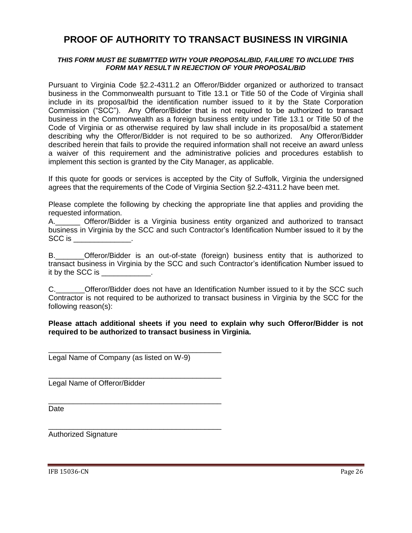## <span id="page-25-0"></span>**PROOF OF AUTHORITY TO TRANSACT BUSINESS IN VIRGINIA**

#### *THIS FORM MUST BE SUBMITTED WITH YOUR PROPOSAL/BID, FAILURE TO INCLUDE THIS FORM MAY RESULT IN REJECTION OF YOUR PROPOSAL/BID*

Pursuant to Virginia Code §2.2-4311.2 an Offeror/Bidder organized or authorized to transact business in the Commonwealth pursuant to Title 13.1 or Title 50 of the Code of Virginia shall include in its proposal/bid the identification number issued to it by the State Corporation Commission ("SCC"). Any Offeror/Bidder that is not required to be authorized to transact business in the Commonwealth as a foreign business entity under Title 13.1 or Title 50 of the Code of Virginia or as otherwise required by law shall include in its proposal/bid a statement describing why the Offeror/Bidder is not required to be so authorized. Any Offeror/Bidder described herein that fails to provide the required information shall not receive an award unless a waiver of this requirement and the administrative policies and procedures establish to implement this section is granted by the City Manager, as applicable.

If this quote for goods or services is accepted by the City of Suffolk, Virginia the undersigned agrees that the requirements of the Code of Virginia Section §2.2-4311.2 have been met.

Please complete the following by checking the appropriate line that applies and providing the requested information.

A.\_\_\_\_\_\_ Offeror/Bidder is a Virginia business entity organized and authorized to transact business in Virginia by the SCC and such Contractor's Identification Number issued to it by the SCC is \_\_\_\_\_\_\_\_\_\_\_\_\_\_.

B. Offeror/Bidder is an out-of-state (foreign) business entity that is authorized to transact business in Virginia by the SCC and such Contractor's identification Number issued to it by the SCC is \_\_\_\_\_\_\_\_\_\_\_.

C. C. Chieffor/Bidder does not have an Identification Number issued to it by the SCC such Contractor is not required to be authorized to transact business in Virginia by the SCC for the following reason(s):

#### **Please attach additional sheets if you need to explain why such Offeror/Bidder is not required to be authorized to transact business in Virginia.**

Legal Name of Company (as listed on W-9)

\_\_\_\_\_\_\_\_\_\_\_\_\_\_\_\_\_\_\_\_\_\_\_\_\_\_\_\_\_\_\_\_\_\_\_\_\_\_\_\_\_\_

\_\_\_\_\_\_\_\_\_\_\_\_\_\_\_\_\_\_\_\_\_\_\_\_\_\_\_\_\_\_\_\_\_\_\_\_\_\_\_\_\_\_

\_\_\_\_\_\_\_\_\_\_\_\_\_\_\_\_\_\_\_\_\_\_\_\_\_\_\_\_\_\_\_\_\_\_\_\_\_\_\_\_\_\_

\_\_\_\_\_\_\_\_\_\_\_\_\_\_\_\_\_\_\_\_\_\_\_\_\_\_\_\_\_\_\_\_\_\_\_\_\_\_\_\_\_\_

Legal Name of Offeror/Bidder

Date

Authorized Signature